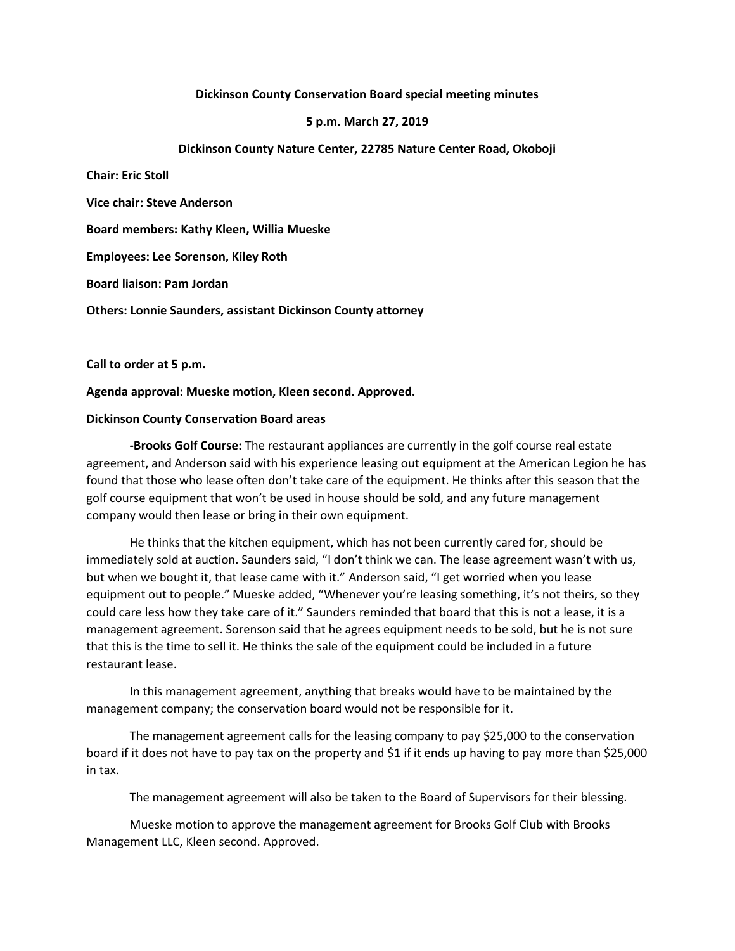## **Dickinson County Conservation Board special meeting minutes**

## **5 p.m. March 27, 2019**

### **Dickinson County Nature Center, 22785 Nature Center Road, Okoboji**

**Chair: Eric Stoll**

**Vice chair: Steve Anderson**

**Board members: Kathy Kleen, Willia Mueske**

**Employees: Lee Sorenson, Kiley Roth**

**Board liaison: Pam Jordan**

**Others: Lonnie Saunders, assistant Dickinson County attorney**

**Call to order at 5 p.m.**

**Agenda approval: Mueske motion, Kleen second. Approved.**

### **Dickinson County Conservation Board areas**

**-Brooks Golf Course:** The restaurant appliances are currently in the golf course real estate agreement, and Anderson said with his experience leasing out equipment at the American Legion he has found that those who lease often don't take care of the equipment. He thinks after this season that the golf course equipment that won't be used in house should be sold, and any future management company would then lease or bring in their own equipment.

He thinks that the kitchen equipment, which has not been currently cared for, should be immediately sold at auction. Saunders said, "I don't think we can. The lease agreement wasn't with us, but when we bought it, that lease came with it." Anderson said, "I get worried when you lease equipment out to people." Mueske added, "Whenever you're leasing something, it's not theirs, so they could care less how they take care of it." Saunders reminded that board that this is not a lease, it is a management agreement. Sorenson said that he agrees equipment needs to be sold, but he is not sure that this is the time to sell it. He thinks the sale of the equipment could be included in a future restaurant lease.

In this management agreement, anything that breaks would have to be maintained by the management company; the conservation board would not be responsible for it.

The management agreement calls for the leasing company to pay \$25,000 to the conservation board if it does not have to pay tax on the property and \$1 if it ends up having to pay more than \$25,000 in tax.

The management agreement will also be taken to the Board of Supervisors for their blessing.

Mueske motion to approve the management agreement for Brooks Golf Club with Brooks Management LLC, Kleen second. Approved.